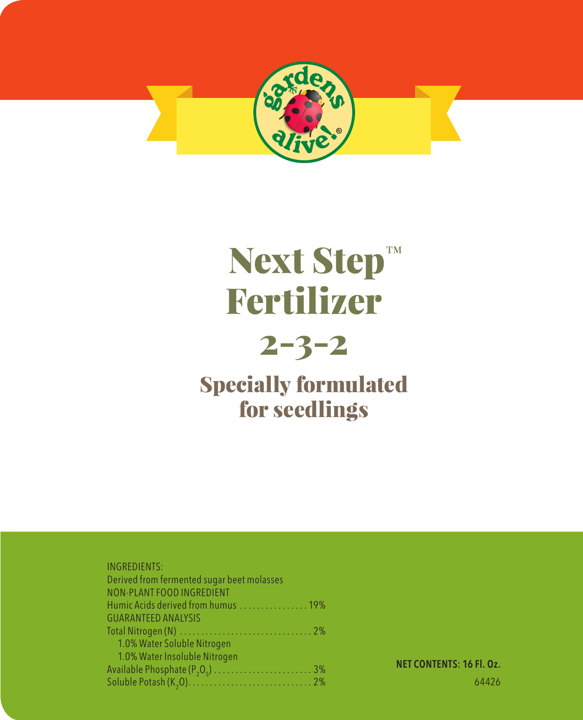

# Next Step™ Fertilizer

## 2-3-2

### Specially formulated for seedlings

#### INGREDIENTS:

NET CONTENTS: 16 Fl. Oz. 64426